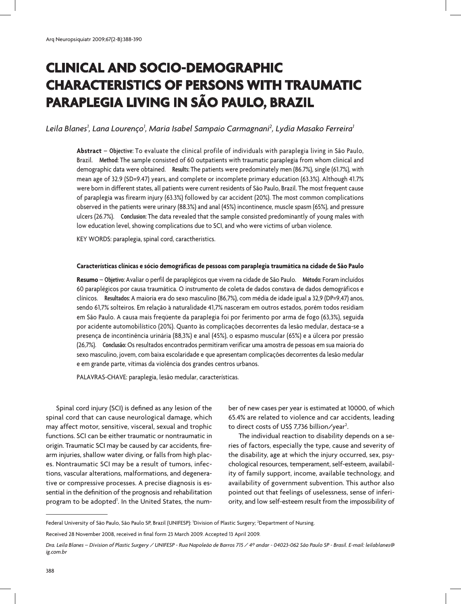# **Clinical and socio-demographic characteristics of persons with traumatic paraplegia living in São Paulo, Brazil**

# Leila Blanes<sup>1</sup>, Lana Lourenço<sup>1</sup>, Maria Isabel Sampaio Carmagnani<sup>2</sup>, Lydia Masako Ferreira<sup>1</sup>

**Abstract** – **Objective:** To evaluate the clinical profile of individuals with paraplegia living in São Paulo, Brazil. **Method:** The sample consisted of 60 outpatients with traumatic paraplegia from whom clinical and demographic data were obtained. **Results:** The patients were predominately men (86.7%), single (61.7%), with mean age of 32.9 (SD=9.47) years, and complete or incomplete primary education (63.3%). Although 41.7% were born in different states, all patients were current residents of São Paulo, Brazil. The most frequent cause of paraplegia was firearm injury (63.3%) followed by car accident (20%). The most common complications observed in the patients were urinary (88.3%) and anal (45%) incontinence, muscle spasm (65%), and pressure ulcers (26.7%). **Conclusion:** The data revealed that the sample consisted predominantly of young males with low education level, showing complications due to SCI, and who were victims of urban violence.

KEY WORDS: paraplegia, spinal cord, caractheristics.

#### **Características clínicas e sócio demográficas de pessoas com paraplegia traumática na cidade de São Paulo**

**Resumo** – **Objetivo:** Avaliar o perfil de paraplégicos que vivem na cidade de São Paulo. **Método:** Foram incluídos 60 paraplégicos por causa traumática. O instrumento de coleta de dados constava de dados demográficos e clínicos. **Resultados:** A maioria era do sexo masculino (86,7%), com média de idade igual a 32,9 (DP=9,47) anos, sendo 61,7% solteiros. Em relação à naturalidade 41,7% nasceram em outros estados, porém todos residiam em São Paulo. A causa mais freqüente da paraplegia foi por ferimento por arma de fogo (63,3%), seguida por acidente automobilístico (20%). Quanto às complicações decorrentes da lesão medular, destaca-se a presença de incontinência urinária (88,3%) e anal (45%), o espasmo muscular (65%) e a úlcera por pressão (26,7%). **Conclusão:** Os resultados encontrados permitiram verificar uma amostra de pessoas em sua maioria do sexo masculino, jovem, com baixa escolaridade e que apresentam complicações decorrentes da lesão medular e em grande parte, vítimas da violência dos grandes centros urbanos.

PALAVRAS-CHAVE: paraplegia, lesão medular, características.

Spinal cord injury (SCI) is defined as any lesion of the spinal cord that can cause neurological damage, which may affect motor, sensitive, visceral, sexual and trophic functions. SCI can be either traumatic or nontraumatic in origin. Traumatic SCI may be caused by car accidents, firearm injuries, shallow water diving, or falls from high places. Nontraumatic SCI may be a result of tumors, infections, vascular alterations, malformations, and degenerative or compressive processes. A precise diagnosis is essential in the definition of the prognosis and rehabilitation program to be adopted<sup>1</sup>. In the United States, the number of new cases per year is estimated at 10000, of which 65.4% are related to violence and car accidents, leading to direct costs of US\$ 7,736 billion/year<sup>2</sup>.

The individual reaction to disability depends on a series of factors, especially the type, cause and severity of the disability, age at which the injury occurred, sex, psychological resources, temperament, self-esteem, availability of family support, income, available technology, and availability of government subvention. This author also pointed out that feelings of uselessness, sense of inferiority, and low self-esteem result from the impossibility of

Federal University of São Paulo, São Paulo SP, Brazil (UNIFESP): <sup>1</sup>Division of Plastic Surgery; <sup>2</sup>Department of Nursing.

Received 28 November 2008, received in final form 23 March 2009. Accepted 13 April 2009.

*Dra. Leila Blanes – Division of Plastic Surgery / UNIFESP - Rua Napoleão de Barros 715 / 4º andar - 04023-062 São Paulo SP - Brasil. E-mail: leilablanes@ ig.com.br*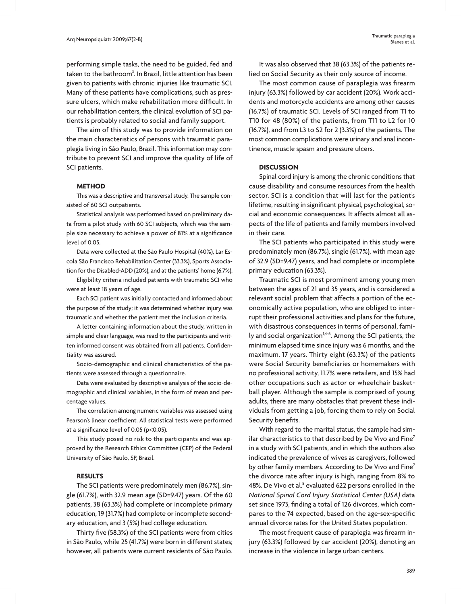performing simple tasks, the need to be guided, fed and taken to the bathroom<sup>3</sup>. In Brazil, little attention has been given to patients with chronic injuries like traumatic SCI. Many of these patients have complications, such as pressure ulcers, which make rehabilitation more difficult. In our rehabilitation centers, the clinical evolution of SCI patients is probably related to social and family support.

The aim of this study was to provide information on the main characteristics of persons with traumatic paraplegia living in São Paulo, Brazil. This information may contribute to prevent SCI and improve the quality of life of SCI patients.

#### **METHOD**

This was a descriptive and transversal study. The sample consisted of 60 SCI outpatients.

Statistical analysis was performed based on preliminary data from a pilot study with 60 SCI subjects, which was the sample size necessary to achieve a power of 81% at a significance level of 0.05.

Data were collected at the São Paulo Hospital (40%), Lar Escola São Francisco Rehabilitation Center (33.3%), Sports Association for the Disabled-ADD (20%), and at the patients' home (6.7%).

Eligibility criteria included patients with traumatic SCI who were at least 18 years of age.

Each SCI patient was initially contacted and informed about the purpose of the study; it was determined whether injury was traumatic and whether the patient met the inclusion criteria.

A letter containing information about the study, written in simple and clear language, was read to the participants and written informed consent was obtained from all patients. Confidentiality was assured.

Socio-demographic and clinical characteristics of the patients were assessed through a questionnaire.

Data were evaluated by descriptive analysis of the socio-demographic and clinical variables, in the form of mean and percentage values.

The correlation among numeric variables was assessed using Pearson's linear coefficient. All statistical tests were performed at a significance level of 0.05 (p<0.05).

This study posed no risk to the participants and was approved by the Research Ethics Committee (CEP) of the Federal University of São Paulo, SP, Brazil.

### **RESULTS**

The SCI patients were predominately men (86.7%), single (61.7%), with 32.9 mean age (SD=9.47) years. Of the 60 patients, 38 (63.3%) had complete or incomplete primary education, 19 (31.7%) had complete or incomplete secondary education, and 3 (5%) had college education.

Thirty five (58.3%) of the SCI patients were from cities in São Paulo, while 25 (41.7%) were born in different states; however, all patients were current residents of São Paulo.

It was also observed that 38 (63.3%) of the patients relied on Social Security as their only source of income.

The most common cause of paraplegia was firearm injury (63.3%) followed by car accident (20%). Work accidents and motorcycle accidents are among other causes (16.7%) of traumatic SCI. Levels of SCI ranged from T1 to T10 for 48 (80%) of the patients, from T11 to L2 for 10 (16.7%), and from L3 to S2 for 2 (3.3%) of the patients. The most common complications were urinary and anal incontinence, muscle spasm and pressure ulcers.

#### **DISCUSSION**

Spinal cord injury is among the chronic conditions that cause disability and consume resources from the health sector. SCI is a condition that will last for the patient's lifetime, resulting in significant physical, psychological, social and economic consequences. It affects almost all aspects of the life of patients and family members involved in their care.

The SCI patients who participated in this study were predominately men (86.7%), single (61.7%), with mean age of 32.9 (SD=9.47) years, and had complete or incomplete primary education (63.3%).

Traumatic SCI is most prominent among young men between the ages of 21 and 35 years, and is considered a relevant social problem that affects a portion of the economically active population, who are obliged to interrupt their professional activities and plans for the future, with disastrous consequences in terms of personal, family and social organization<sup>1,4-6</sup>. Among the SCI patients, the minimum elapsed time since injury was 6 months, and the maximum, 17 years. Thirty eight (63.3%) of the patients were Social Security beneficiaries or homemakers with no professional activity, 11.7% were retailers, and 15% had other occupations such as actor or wheelchair basketball player. Although the sample is comprised of young adults, there are many obstacles that prevent these individuals from getting a job, forcing them to rely on Social Security benefits.

With regard to the marital status, the sample had similar characteristics to that described by De Vivo and Fine<sup>7</sup> in a study with SCI patients, and in which the authors also indicated the prevalence of wives as caregivers, followed by other family members. According to De Vivo and Fine<sup>7</sup> the divorce rate after injury is high, ranging from 8% to 48%. De Vivo et al.<sup>8</sup> evaluated 622 persons enrolled in the *National Spinal Cord Injury Statistical Center (USA)* data set since 1973, finding a total of 126 divorces, which compares to the 74 expected, based on the age-sex-specific annual divorce rates for the United States population.

The most frequent cause of paraplegia was firearm injury (63.3%) followed by car accident (20%), denoting an increase in the violence in large urban centers.